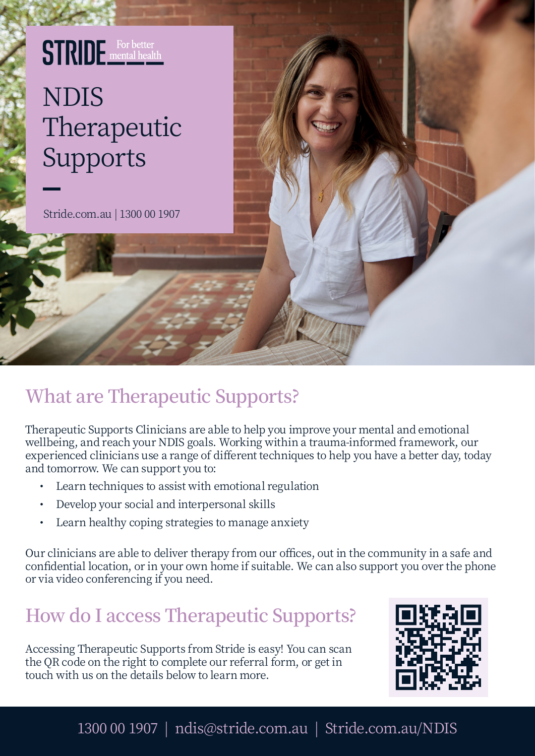## **STRIDE** For better NDIS Therapeutic Supports

Stride.com.au | 1300 00 1907

## **What are Therapeutic Supports?**

Therapeutic Supports Clinicians are able to help you improve your mental and emotional wellbeing, and reach your NDIS goals. Working within a trauma-informed framework, our experienced clinicians use a range of different techniques to help you have a better day, today and tomorrow. We can support you to:

- Learn techniques to assist with emotional regulation
- Develop your social and interpersonal skills
- Learn healthy coping strategies to manage anxiety

Our clinicians are able to deliver therapy from our offices, out in the community in a safe and confidential location, or in your own home if suitable. We can also support you over the phone or via video conferencing if you need.

## **How do I access Therapeutic Supports?**

Accessing Therapeutic Supports from Stride is easy! You can scan the QR code on the right to complete our referral form, or get in touch with us on the details below to learn more.